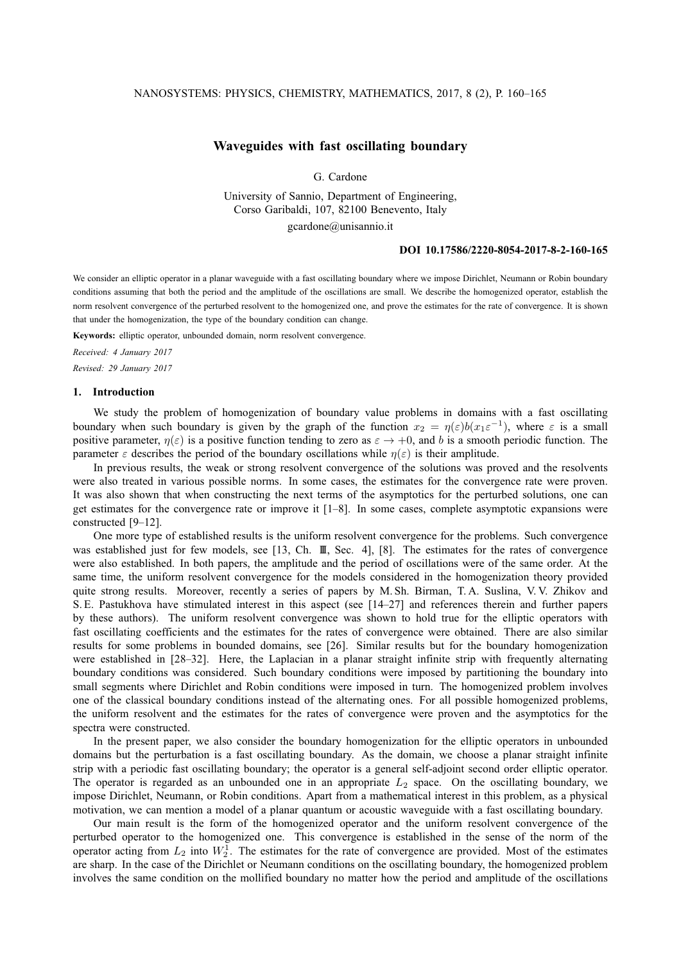## NANOSYSTEMS: PHYSICS, CHEMISTRY, MATHEMATICS, 2017, 8 (2), P. 160–165

# **Waveguides with fast oscillating boundary**

G. Cardone

University of Sannio, Department of Engineering, Corso Garibaldi, 107, 82100 Benevento, Italy gcardone@unisannio.it

#### **DOI 10.17586/2220-8054-2017-8-2-160-165**

We consider an elliptic operator in a planar waveguide with a fast oscillating boundary where we impose Dirichlet, Neumann or Robin boundary conditions assuming that both the period and the amplitude of the oscillations are small. We describe the homogenized operator, establish the norm resolvent convergence of the perturbed resolvent to the homogenized one, and prove the estimates for the rate of convergence. It is shown that under the homogenization, the type of the boundary condition can change.

**Keywords:** elliptic operator, unbounded domain, norm resolvent convergence.

*Received: 4 January 2017 Revised: 29 January 2017*

#### **1. Introduction**

We study the problem of homogenization of boundary value problems in domains with a fast oscillating boundary when such boundary is given by the graph of the function  $x_2 = \eta(\varepsilon)b(x_1\varepsilon^{-1})$ , where  $\varepsilon$  is a small positive parameter,  $\eta(\varepsilon)$  is a positive function tending to zero as  $\varepsilon \to +0$ , and b is a smooth periodic function. The parameter  $\varepsilon$  describes the period of the boundary oscillations while  $\eta(\varepsilon)$  is their amplitude.

In previous results, the weak or strong resolvent convergence of the solutions was proved and the resolvents were also treated in various possible norms. In some cases, the estimates for the convergence rate were proven. It was also shown that when constructing the next terms of the asymptotics for the perturbed solutions, one can get estimates for the convergence rate or improve it [1–8]. In some cases, complete asymptotic expansions were constructed [9–12].

One more type of established results is the uniform resolvent convergence for the problems. Such convergence was established just for few models, see [13, Ch. III, Sec. 4], [8]. The estimates for the rates of convergence were also established. In both papers, the amplitude and the period of oscillations were of the same order. At the same time, the uniform resolvent convergence for the models considered in the homogenization theory provided quite strong results. Moreover, recently a series of papers by M. Sh. Birman, T. A. Suslina, V. V. Zhikov and S. E. Pastukhova have stimulated interest in this aspect (see [14–27] and references therein and further papers by these authors). The uniform resolvent convergence was shown to hold true for the elliptic operators with fast oscillating coefficients and the estimates for the rates of convergence were obtained. There are also similar results for some problems in bounded domains, see [26]. Similar results but for the boundary homogenization were established in [28–32]. Here, the Laplacian in a planar straight infinite strip with frequently alternating boundary conditions was considered. Such boundary conditions were imposed by partitioning the boundary into small segments where Dirichlet and Robin conditions were imposed in turn. The homogenized problem involves one of the classical boundary conditions instead of the alternating ones. For all possible homogenized problems, the uniform resolvent and the estimates for the rates of convergence were proven and the asymptotics for the spectra were constructed.

In the present paper, we also consider the boundary homogenization for the elliptic operators in unbounded domains but the perturbation is a fast oscillating boundary. As the domain, we choose a planar straight infinite strip with a periodic fast oscillating boundary; the operator is a general self-adjoint second order elliptic operator. The operator is regarded as an unbounded one in an appropriate  $L_2$  space. On the oscillating boundary, we impose Dirichlet, Neumann, or Robin conditions. Apart from a mathematical interest in this problem, as a physical motivation, we can mention a model of a planar quantum or acoustic waveguide with a fast oscillating boundary.

Our main result is the form of the homogenized operator and the uniform resolvent convergence of the perturbed operator to the homogenized one. This convergence is established in the sense of the norm of the operator acting from  $L_2$  into  $W_2^1$ . The estimates for the rate of convergence are provided. Most of the estimates are sharp. In the case of the Dirichlet or Neumann conditions on the oscillating boundary, the homogenized problem involves the same condition on the mollified boundary no matter how the period and amplitude of the oscillations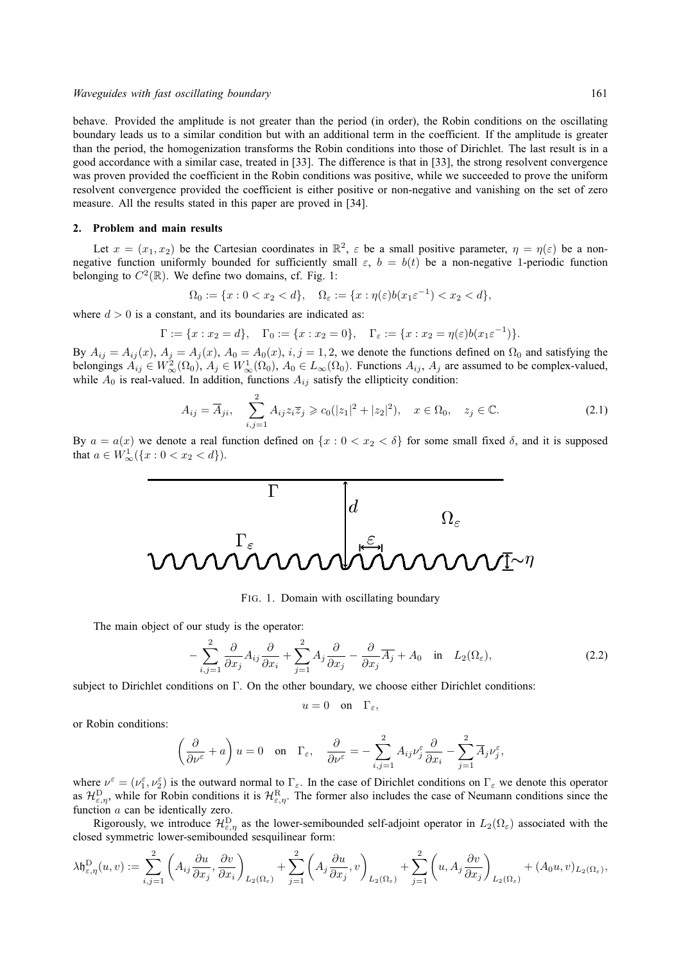#### *Waveguides with fast oscillating boundary* 161

behave. Provided the amplitude is not greater than the period (in order), the Robin conditions on the oscillating boundary leads us to a similar condition but with an additional term in the coefficient. If the amplitude is greater than the period, the homogenization transforms the Robin conditions into those of Dirichlet. The last result is in a good accordance with a similar case, treated in [33]. The difference is that in [33], the strong resolvent convergence was proven provided the coefficient in the Robin conditions was positive, while we succeeded to prove the uniform resolvent convergence provided the coefficient is either positive or non-negative and vanishing on the set of zero measure. All the results stated in this paper are proved in [34].

# **2. Problem and main results**

Let  $x = (x_1, x_2)$  be the Cartesian coordinates in  $\mathbb{R}^2$ ,  $\varepsilon$  be a small positive parameter,  $\eta = \eta(\varepsilon)$  be a nonnegative function uniformly bounded for sufficiently small  $\varepsilon$ ,  $b = b(t)$  be a non-negative 1-periodic function belonging to  $C^2(\mathbb{R})$ . We define two domains, cf. Fig. 1:

$$
\Omega_0 := \{x : 0 < x_2 < d\}, \quad \Omega_\varepsilon := \{x : \eta(\varepsilon)b(x_1\varepsilon^{-1}) < x_2 < d\},
$$

where  $d > 0$  is a constant, and its boundaries are indicated as:

$$
\Gamma := \{x : x_2 = d\}, \quad \Gamma_0 := \{x : x_2 = 0\}, \quad \Gamma_{\varepsilon} := \{x : x_2 = \eta(\varepsilon)b(x_1\varepsilon^{-1})\}.
$$

By  $A_{ij} = A_{ij}(x)$ ,  $A_j = A_j(x)$ ,  $A_0 = A_0(x)$ ,  $i, j = 1, 2$ , we denote the functions defined on  $\Omega_0$  and satisfying the belongings  $A_{ij} \in W^2_{\infty}(\Omega_0)$ ,  $A_j \in W^1_{\infty}(\Omega_0)$ ,  $A_0 \in L_{\infty}(\Omega_0)$ . Functions  $A_{ij}$ ,  $A_j$  are assumed to be complex-valued, while  $A_0$  is real-valued. In addition, functions  $A_{ij}$  satisfy the ellipticity condition:

$$
A_{ij} = \overline{A}_{ji}, \quad \sum_{i,j=1}^{2} A_{ij} z_i \overline{z}_j \ge c_0 (|z_1|^2 + |z_2|^2), \quad x \in \Omega_0, \quad z_j \in \mathbb{C}.
$$
 (2.1)

By  $a = a(x)$  we denote a real function defined on  $\{x : 0 < x_2 < \delta\}$  for some small fixed  $\delta$ , and it is supposed that  $a \in W^1_{\infty}(\{x : 0 < x_2 < d\}).$ 



FIG. 1. Domain with oscillating boundary

The main object of our study is the operator:

$$
-\sum_{i,j=1}^{2} \frac{\partial}{\partial x_j} A_{ij} \frac{\partial}{\partial x_i} + \sum_{j=1}^{2} A_j \frac{\partial}{\partial x_j} - \frac{\partial}{\partial x_j} \overline{A_j} + A_0 \quad \text{in} \quad L_2(\Omega_{\varepsilon}),\tag{2.2}
$$

subject to Dirichlet conditions on Γ. On the other boundary, we choose either Dirichlet conditions:

$$
u=0 \quad \text{on} \quad \Gamma_{\varepsilon},
$$

or Robin conditions:

$$
\left(\frac{\partial}{\partial\nu^\varepsilon}+a\right)u=0\quad\text{on}\quad\Gamma_\varepsilon,\quad\frac{\partial}{\partial\nu^\varepsilon}=-\sum_{i,j=1}^2A_{ij}\nu_j^\varepsilon\frac{\partial}{\partial x_i}-\sum_{j=1}^2\overline{A}_j\nu_j^\varepsilon,
$$

where  $\nu^{\varepsilon} = (\nu_1^{\varepsilon}, \nu_2^{\varepsilon})$  is the outward normal to  $\Gamma_{\varepsilon}$ . In the case of Dirichlet conditions on  $\Gamma_{\varepsilon}$  we denote this operator as  $\mathcal{H}_{\varepsilon,\eta}^{\text{D}}$ , while for Robin conditions it is  $\mathcal{H}_{\varepsilon,\eta}^{\text{R}}$ . The former also includes the case of Neumann conditions since the function  $a$  can be identically zero.

Rigorously, we introduce  $\mathcal{H}_{\varepsilon,\eta}^D$  as the lower-semibounded self-adjoint operator in  $L_2(\Omega_\varepsilon)$  associated with the closed symmetric lower-semibounded sesquilinear form:

$$
\lambda \mathfrak{h}_{\varepsilon,\eta}^{D}(u,v) := \sum_{i,j=1}^{2} \left( A_{ij} \frac{\partial u}{\partial x_j}, \frac{\partial v}{\partial x_i} \right)_{L_2(\Omega_{\varepsilon})} + \sum_{j=1}^{2} \left( A_j \frac{\partial u}{\partial x_j}, v \right)_{L_2(\Omega_{\varepsilon})} + \sum_{j=1}^{2} \left( u, A_j \frac{\partial v}{\partial x_j} \right)_{L_2(\Omega_{\varepsilon})} + (A_0 u, v)_{L_2(\Omega_{\varepsilon})},
$$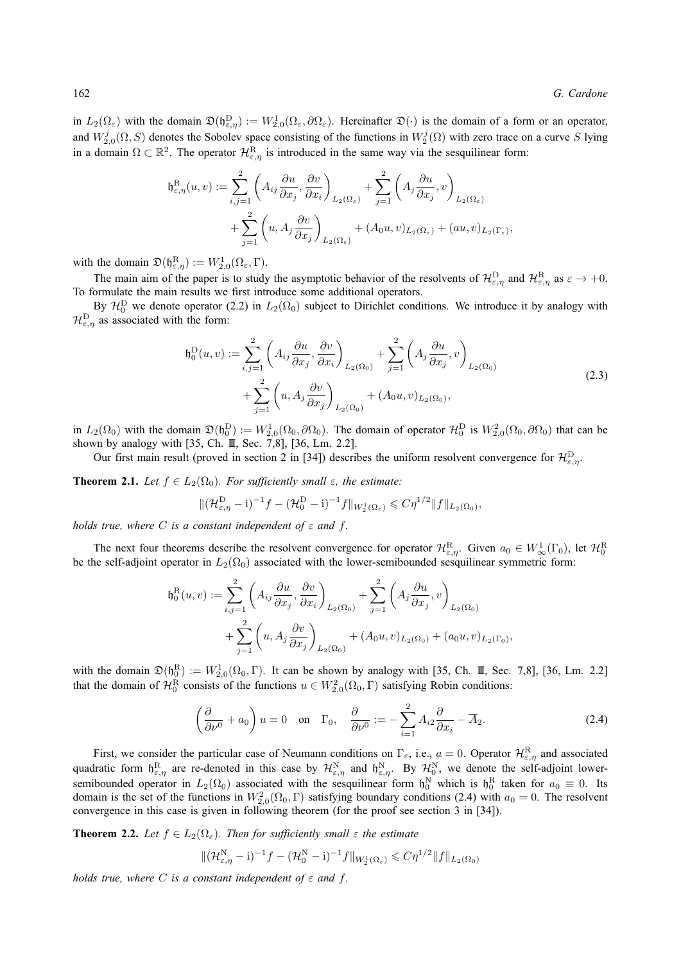in  $L_2(\Omega_\varepsilon)$  with the domain  $\mathfrak{D}(\mathfrak{h}_{\varepsilon,\eta}^D) := W_{2,0}^1(\Omega_\varepsilon, \partial \Omega_\varepsilon)$ . Hereinafter  $\mathfrak{D}(\cdot)$  is the domain of a form or an operator, and  $W_{2,0}^j(\Omega, S)$  denotes the Sobolev space consisting of the functions in  $W_2^j(\Omega)$  with zero trace on a curve S lying in a domain  $\Omega \subset \mathbb{R}^2$ . The operator  $\mathcal{H}_{\varepsilon,\eta}^R$  is introduced in the same way via the sesquilinear form:

$$
\mathfrak{h}_{\varepsilon,\eta}^{\mathrm{R}}(u,v) := \sum_{i,j=1}^{2} \left( A_{ij} \frac{\partial u}{\partial x_j}, \frac{\partial v}{\partial x_i} \right)_{L_2(\Omega_{\varepsilon})} + \sum_{j=1}^{2} \left( A_j \frac{\partial u}{\partial x_j}, v \right)_{L_2(\Omega_{\varepsilon})} \n+ \sum_{j=1}^{2} \left( u, A_j \frac{\partial v}{\partial x_j} \right)_{L_2(\Omega_{\varepsilon})} + (A_0 u, v)_{L_2(\Omega_{\varepsilon})} + (au, v)_{L_2(\Gamma_{\varepsilon})},
$$

with the domain  $\mathfrak{D}(\mathfrak{h}_{\varepsilon,\eta}^{\mathbf{R}}) := W^1_{2,0}(\Omega_{\varepsilon},\Gamma)$ .

The main aim of the paper is to study the asymptotic behavior of the resolvents of  $\mathcal{H}_{\varepsilon,\eta}^D$  and  $\mathcal{H}_{\varepsilon,\eta}^R$  as  $\varepsilon \to +0$ . To formulate the main results we first introduce some additional operators.

By  $\mathcal{H}_0^D$  we denote operator (2.2) in  $L_2(\Omega_0)$  subject to Dirichlet conditions. We introduce it by analogy with  $\mathcal{H}_{\varepsilon,\eta}^{\text{D}}$  as associated with the form:

$$
\mathfrak{h}_0^D(u,v) := \sum_{i,j=1}^2 \left( A_{ij} \frac{\partial u}{\partial x_j}, \frac{\partial v}{\partial x_i} \right)_{L_2(\Omega_0)} + \sum_{j=1}^2 \left( A_j \frac{\partial u}{\partial x_j}, v \right)_{L_2(\Omega_0)} \n+ \sum_{j=1}^2 \left( u, A_j \frac{\partial v}{\partial x_j} \right)_{L_2(\Omega_0)} + (A_0 u, v)_{L_2(\Omega_0)},
$$
\n(2.3)

in  $L_2(\Omega_0)$  with the domain  $\mathfrak{D}(\mathfrak{h}_0^D) := W_{2,0}^1(\Omega_0, \partial \Omega_0)$ . The domain of operator  $\mathcal{H}_0^D$  is  $W_{2,0}^2(\Omega_0, \partial \Omega_0)$  that can be shown by analogy with [35, Ch. III, Sec. 7,8], [36, Lm. 2.2].

Our first main result (proved in section 2 in [34]) describes the uniform resolvent convergence for  $\mathcal{H}_{\varepsilon,\eta}^D$ .

**Theorem 2.1.** *Let*  $f \in L_2(\Omega_0)$ *. For sufficiently small*  $\varepsilon$ *, the estimate:* 

$$
\|(\mathcal{H}_{\varepsilon,\eta}^D - i)^{-1}f - (\mathcal{H}_0^D - i)^{-1}f\|_{W_2^1(\Omega_{\varepsilon})} \leq C\eta^{1/2} \|f\|_{L_2(\Omega_0)},
$$

*holds true, where*  $C$  *is a constant independent of*  $\varepsilon$  *and*  $f$ *.* 

The next four theorems describe the resolvent convergence for operator  $\mathcal{H}^R_{\varepsilon,\eta}$ . Given  $a_0 \in W^1_\infty(\Gamma_0)$ , let  $\mathcal{H}^R_0$ be the self-adjoint operator in  $L_2(\Omega_0)$  associated with the lower-semibounded sesquilinear symmetric form:

$$
\mathfrak{h}_0^R(u,v) := \sum_{i,j=1}^2 \left( A_{ij} \frac{\partial u}{\partial x_j}, \frac{\partial v}{\partial x_i} \right)_{L_2(\Omega_0)} + \sum_{j=1}^2 \left( A_j \frac{\partial u}{\partial x_j}, v \right)_{L_2(\Omega_0)} \n+ \sum_{j=1}^2 \left( u, A_j \frac{\partial v}{\partial x_j} \right)_{L_2(\Omega_0)} + (A_0 u, v)_{L_2(\Omega_0)} + (a_0 u, v)_{L_2(\Gamma_0)},
$$

with the domain  $\mathfrak{D}(\mathfrak{h}_0^R) := W^1_{2,0}(\Omega_0, \Gamma)$ . It can be shown by analogy with [35, Ch. II, Sec. 7,8], [36, Lm. 2.2] that the domain of  $\mathcal{H}_0^R$  consists of the functions  $u \in W^2_{2,0}(\Omega_0, \Gamma)$  satisfying Robin conditions:

$$
\left(\frac{\partial}{\partial \nu^0} + a_0\right)u = 0 \quad \text{on} \quad \Gamma_0, \quad \frac{\partial}{\partial \nu^0} := -\sum_{i=1}^2 A_{i2} \frac{\partial}{\partial x_i} - \overline{A}_2. \tag{2.4}
$$

First, we consider the particular case of Neumann conditions on  $\Gamma_{\varepsilon}$ , i.e.,  $a=0$ . Operator  $\mathcal{H}_{\varepsilon,\eta}^R$  and associated quadratic form  $\mathfrak{h}_{\varepsilon,\eta}^{\rm R}$  are re-denoted in this case by  $\mathcal{H}_{\varepsilon,\eta}^{\rm N}$  and  $\mathfrak{h}_{\varepsilon,\eta}^{\rm N}$ . By  $\mathcal{H}_{0}^{\rm N}$ , we denote the self-adjoint lowersemibounded operator in  $L_2(\Omega_0)$  associated with the sesquilinear form  $\mathfrak{h}_0^N$  which is  $\mathfrak{h}_0^R$  taken for  $a_0 \equiv 0$ . Its domain is the set of the functions in  $W_{2,0}^2(\Omega_0, \Gamma)$  satisfying boundary conditions (2.4) with  $a_0 = 0$ . The resolvent convergence in this case is given in following theorem (for the proof see section 3 in [34]).

**Theorem 2.2.** Let  $f \in L_2(\Omega_\varepsilon)$ . Then for sufficiently small  $\varepsilon$  the estimate

$$
\|(\mathcal{H}_{\varepsilon,\eta}^N - i)^{-1} f - (\mathcal{H}_0^N - i)^{-1} f\|_{W_2^1(\Omega_{\varepsilon})} \leqslant C \eta^{1/2} \|f\|_{L_2(\Omega_0)}
$$

*holds true, where*  $C$  *is a constant independent of*  $\varepsilon$  *and*  $f$ *.*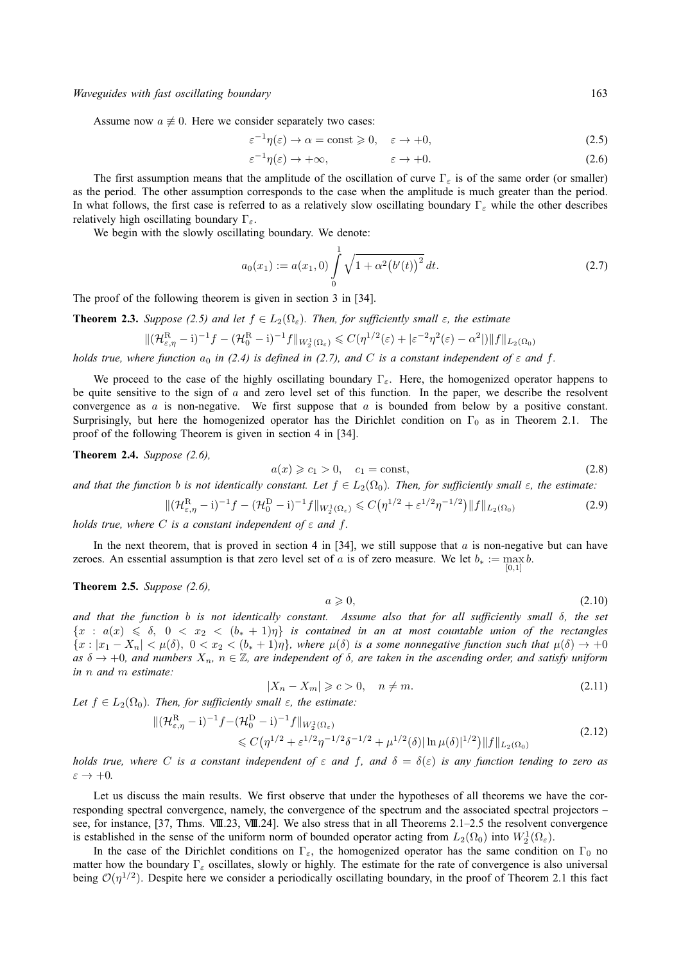*Waveguides with fast oscillating boundary* 163

Assume now  $a \neq 0$ . Here we consider separately two cases:

$$
\varepsilon^{-1}\eta(\varepsilon) \to \alpha = \text{const} \ge 0, \quad \varepsilon \to +0,\tag{2.5}
$$

$$
\varepsilon^{-1}\eta(\varepsilon) \to +\infty, \qquad \varepsilon \to +0. \tag{2.6}
$$

The first assumption means that the amplitude of the oscillation of curve  $\Gamma_{\varepsilon}$  is of the same order (or smaller) as the period. The other assumption corresponds to the case when the amplitude is much greater than the period. In what follows, the first case is referred to as a relatively slow oscillating boundary  $\Gamma_{\varepsilon}$  while the other describes relatively high oscillating boundary  $\Gamma_{\varepsilon}$ .

We begin with the slowly oscillating boundary. We denote:

$$
a_0(x_1) := a(x_1, 0) \int_0^1 \sqrt{1 + \alpha^2 (b'(t))^2} dt.
$$
 (2.7)

The proof of the following theorem is given in section 3 in [34].

**Theorem 2.3.** *Suppose (2.5) and let*  $f \in L_2(\Omega_\varepsilon)$ *. Then, for sufficiently small*  $\varepsilon$ *, the estimate* 

$$
\|(\mathcal{H}_{\varepsilon,\eta}^{\mathrm{R}}-i)^{-1}f-(\mathcal{H}_{0}^{\mathrm{R}}-i)^{-1}f\|_{W_{2}^{1}(\Omega_{\varepsilon})}\leqslant C(\eta^{1/2}(\varepsilon)+|\varepsilon^{-2}\eta^{2}(\varepsilon)-\alpha^{2}|)\|f\|_{L_{2}(\Omega_{0})}
$$

*holds true, where function*  $a_0$  *in (2.4) is defined in (2.7), and* C *is a constant independent of*  $\varepsilon$  *and*  $f$ .

We proceed to the case of the highly oscillating boundary  $\Gamma_{\varepsilon}$ . Here, the homogenized operator happens to be quite sensitive to the sign of  $a$  and zero level set of this function. In the paper, we describe the resolvent convergence as  $a$  is non-negative. We first suppose that  $a$  is bounded from below by a positive constant. Surprisingly, but here the homogenized operator has the Dirichlet condition on  $\Gamma_0$  as in Theorem 2.1. The proof of the following Theorem is given in section 4 in [34].

**Theorem 2.4.** *Suppose (2.6),*

$$
a(x) \geqslant c_1 > 0, \quad c_1 = \text{const},\tag{2.8}
$$

*and that the function b is not identically constant. Let*  $f \in L_2(\Omega_0)$ *. Then, for sufficiently small*  $\varepsilon$ *, the estimate:* 

$$
\|(\mathcal{H}_{\varepsilon,\eta}^{R}-i)^{-1}f - (\mathcal{H}_{0}^{D}-i)^{-1}f\|_{W_{2}^{1}(\Omega_{\varepsilon})} \leqslant C(\eta^{1/2} + \varepsilon^{1/2}\eta^{-1/2})\|f\|_{L_{2}(\Omega_{0})}
$$
(2.9)

*holds true, where* C *is a constant independent of*  $\varepsilon$  *and*  $f$ *.* 

In the next theorem, that is proved in section 4 in [34], we still suppose that a is non-negative but can have zeroes. An essential assumption is that zero level set of a is of zero measure. We let  $b_* := \max_b b$ . [0,1]

**Theorem 2.5.** *Suppose (2.6),*

$$
a \geqslant 0,\tag{2.10}
$$

*and that the function* b *is not identically constant. Assume also that for all sufficiently small* δ*, the set*  ${x : a(x) \leq \delta, 0 < x_2 < (b_*+1)\eta}$  is contained in an at most countable union of the rectangles  ${x : |x_1 - X_n| < \mu(\delta), 0 < x_2 < (b_*+1)\eta},$  where  $\mu(\delta)$  is a some nonnegative function such that  $\mu(\delta) \to +0$  $as\ \delta \to +0$ , and numbers  $X_n$ ,  $n \in \mathbb{Z}$ , are independent of  $\delta$ , are taken in the ascending order, and satisfy uniform *in* n *and* m *estimate:*

$$
|X_n - X_m| \geqslant c > 0, \quad n \neq m. \tag{2.11}
$$

Let  $f \in L_2(\Omega_0)$ . Then, for sufficiently small  $\varepsilon$ , the estimate:

$$
\|(\mathcal{H}_{\varepsilon,\eta}^{R}-i)^{-1}f-(\mathcal{H}_{0}^{D}-i)^{-1}f\|_{W_{2}^{1}(\Omega_{\varepsilon})}\n\leq C(\eta^{1/2}+\varepsilon^{1/2}\eta^{-1/2}\delta^{-1/2}+\mu^{1/2}(\delta)|\ln\mu(\delta)|^{1/2})\|f\|_{L_{2}(\Omega_{0})}\n\tag{2.12}
$$

*holds true, where* C *is a constant independent of*  $\varepsilon$  *and*  $f$ , *and*  $\delta = \delta(\varepsilon)$  *is any function tending to zero as*  $\varepsilon \to +0$ .

Let us discuss the main results. We first observe that under the hypotheses of all theorems we have the corresponding spectral convergence, namely, the convergence of the spectrum and the associated spectral projectors – see, for instance, [37, Thms. VIII.23, VIII.24]. We also stress that in all Theorems 2.1–2.5 the resolvent convergence is established in the sense of the uniform norm of bounded operator acting from  $L_2(\Omega_0)$  into  $W_2^1(\Omega_\varepsilon)$ .

In the case of the Dirichlet conditions on  $\Gamma_{\varepsilon}$ , the homogenized operator has the same condition on  $\Gamma_0$  no matter how the boundary  $\Gamma_{\varepsilon}$  oscillates, slowly or highly. The estimate for the rate of convergence is also universal being  $\mathcal{O}(\eta^{1/2})$ . Despite here we consider a periodically oscillating boundary, in the proof of Theorem 2.1 this fact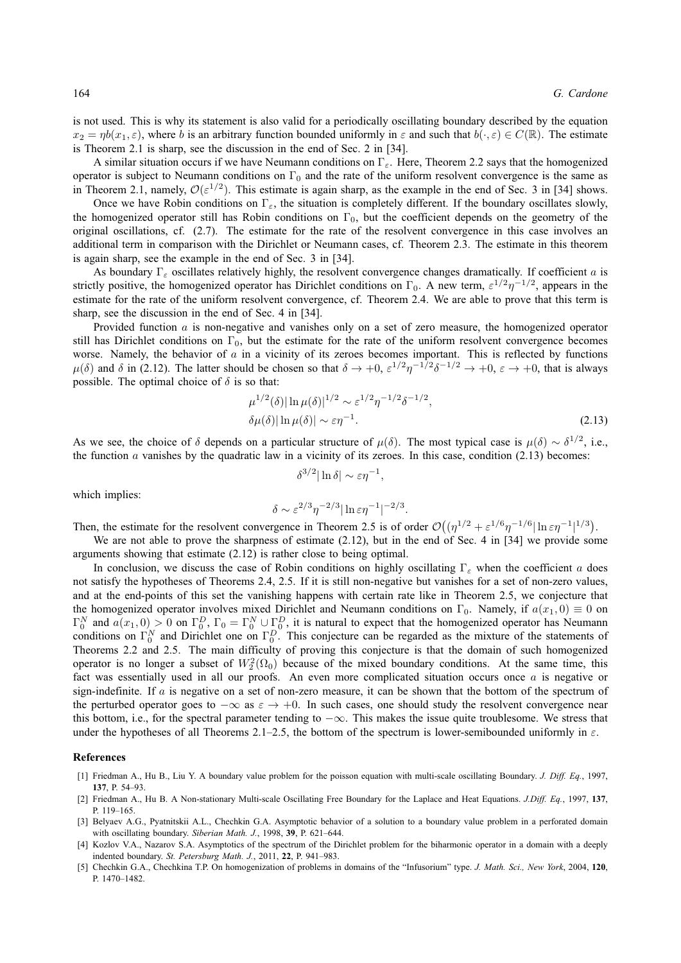is not used. This is why its statement is also valid for a periodically oscillating boundary described by the equation  $x_2 = \eta b(x_1, \varepsilon)$ , where b is an arbitrary function bounded uniformly in  $\varepsilon$  and such that  $b(\cdot, \varepsilon) \in C(\mathbb{R})$ . The estimate is Theorem 2.1 is sharp, see the discussion in the end of Sec. 2 in [34].

A similar situation occurs if we have Neumann conditions on  $\Gamma_{\varepsilon}$ . Here, Theorem 2.2 says that the homogenized operator is subject to Neumann conditions on  $\Gamma_0$  and the rate of the uniform resolvent convergence is the same as in Theorem 2.1, namely,  $\mathcal{O}(\varepsilon^{1/2})$ . This estimate is again sharp, as the example in the end of Sec. 3 in [34] shows.

Once we have Robin conditions on  $\Gamma_{\varepsilon}$ , the situation is completely different. If the boundary oscillates slowly, the homogenized operator still has Robin conditions on  $\Gamma_0$ , but the coefficient depends on the geometry of the original oscillations, cf. (2.7). The estimate for the rate of the resolvent convergence in this case involves an additional term in comparison with the Dirichlet or Neumann cases, cf. Theorem 2.3. The estimate in this theorem is again sharp, see the example in the end of Sec. 3 in [34].

As boundary  $\Gamma_{\epsilon}$  oscillates relatively highly, the resolvent convergence changes dramatically. If coefficient a is strictly positive, the homogenized operator has Dirichlet conditions on  $\Gamma_0$ . A new term,  $\varepsilon^{1/2}\eta^{-1/2}$ , appears in the estimate for the rate of the uniform resolvent convergence, cf. Theorem 2.4. We are able to prove that this term is sharp, see the discussion in the end of Sec. 4 in [34].

Provided function a is non-negative and vanishes only on a set of zero measure, the homogenized operator still has Dirichlet conditions on  $\Gamma_0$ , but the estimate for the rate of the uniform resolvent convergence becomes worse. Namely, the behavior of  $a$  in a vicinity of its zeroes becomes important. This is reflected by functions  $\mu(\delta)$  and  $\delta$  in (2.12). The latter should be chosen so that  $\delta \to +0$ ,  $\epsilon^{1/2} \eta^{-1/2} \delta^{-1/2} \to +0$ ,  $\epsilon \to +0$ , that is always possible. The optimal choice of  $\delta$  is so that:

$$
\mu^{1/2}(\delta)|\ln \mu(\delta)|^{1/2} \sim \varepsilon^{1/2} \eta^{-1/2} \delta^{-1/2},
$$
  
 
$$
\delta \mu(\delta)|\ln \mu(\delta)| \sim \varepsilon \eta^{-1}.
$$
 (2.13)

As we see, the choice of  $\delta$  depends on a particular structure of  $\mu(\delta)$ . The most typical case is  $\mu(\delta) \sim \delta^{1/2}$ , i.e., the function  $a$  vanishes by the quadratic law in a vicinity of its zeroes. In this case, condition (2.13) becomes:

$$
\delta^{3/2} |\ln \delta| \sim \varepsilon \eta^{-1},
$$
  

$$
\delta \sim \varepsilon^{2/3} \eta^{-2/3} |\ln \varepsilon \eta^{-1}|^{-2/3}.
$$

which implies:

Then, the estimate for the resolvent convergence in Theorem 2.5 is of order 
$$
\mathcal{O}((\eta^{1/2} + \varepsilon^{1/6}\eta^{-1/6}|\ln \varepsilon\eta^{-1}|^{1/3}))
$$
.

We are not able to prove the sharpness of estimate (2.12), but in the end of Sec. 4 in [34] we provide some arguments showing that estimate (2.12) is rather close to being optimal.

In conclusion, we discuss the case of Robin conditions on highly oscillating  $\Gamma_{\varepsilon}$  when the coefficient a does not satisfy the hypotheses of Theorems 2.4, 2.5. If it is still non-negative but vanishes for a set of non-zero values, and at the end-points of this set the vanishing happens with certain rate like in Theorem 2.5, we conjecture that the homogenized operator involves mixed Dirichlet and Neumann conditions on  $\Gamma_0$ . Namely, if  $a(x_1, 0) \equiv 0$  on  $\Gamma_0^N$  and  $a(x_1,0) > 0$  on  $\Gamma_0^D$ ,  $\Gamma_0 = \Gamma_0^N \cup \Gamma_0^D$ , it is natural to expect that the homogenized operator has Neumann conditions on  $\Gamma_0^N$  and Dirichlet one on  $\Gamma_0^D$ . This conjecture can be regarded as the mixture of the statements of Theorems 2.2 and 2.5. The main difficulty of proving this conjecture is that the domain of such homogenized operator is no longer a subset of  $W_2^2(\Omega_0)$  because of the mixed boundary conditions. At the same time, this fact was essentially used in all our proofs. An even more complicated situation occurs once a is negative or sign-indefinite. If  $a$  is negative on a set of non-zero measure, it can be shown that the bottom of the spectrum of the perturbed operator goes to  $-\infty$  as  $\varepsilon \to +0$ . In such cases, one should study the resolvent convergence near this bottom, i.e., for the spectral parameter tending to  $-\infty$ . This makes the issue quite troublesome. We stress that under the hypotheses of all Theorems 2.1–2.5, the bottom of the spectrum is lower-semibounded uniformly in  $\varepsilon$ .

## **References**

- [1] Friedman A., Hu B., Liu Y. A boundary value problem for the poisson equation with multi-scale oscillating Boundary. *J. Diff. Eq.*, 1997, **137**, P. 54–93.
- [2] Friedman A., Hu B. A Non-stationary Multi-scale Oscillating Free Boundary for the Laplace and Heat Equations. *J.Diff. Eq.*, 1997, **137**, P. 119–165.
- [3] Belyaev A.G., Pyatnitskii A.L., Chechkin G.A. Asymptotic behavior of a solution to a boundary value problem in a perforated domain with oscillating boundary. *Siberian Math. J.*, 1998, **39**, P. 621–644.
- [4] Kozlov V.A., Nazarov S.A. Asymptotics of the spectrum of the Dirichlet problem for the biharmonic operator in a domain with a deeply indented boundary. *St. Petersburg Math. J.*, 2011, **22**, P. 941–983.
- [5] Chechkin G.A., Chechkina T.P. On homogenization of problems in domains of the "Infusorium" type. *J. Math. Sci., New York*, 2004, **120**, P. 1470–1482.